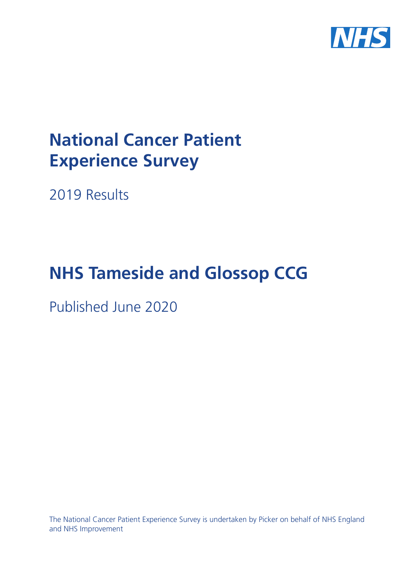

# **National Cancer Patient Experience Survey**

2019 Results

# **NHS Tameside and Glossop CCG**

Published June 2020

The National Cancer Patient Experience Survey is undertaken by Picker on behalf of NHS England and NHS Improvement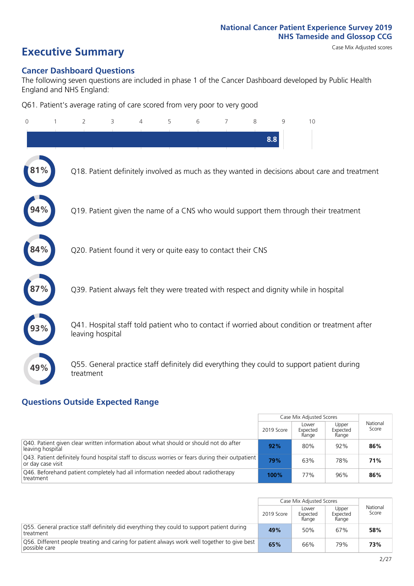# **Executive Summary** Case Mix Adjusted scores

#### **Cancer Dashboard Questions**

The following seven questions are included in phase 1 of the Cancer Dashboard developed by Public Health England and NHS England:

Q61. Patient's average rating of care scored from very poor to very good

| $\Omega$ | $\overline{2}$                                                | 3 | 5 | 6 | 7 | 8 | 9   | 10                                                                                            |  |
|----------|---------------------------------------------------------------|---|---|---|---|---|-----|-----------------------------------------------------------------------------------------------|--|
|          |                                                               |   |   |   |   |   | 8.8 |                                                                                               |  |
|          |                                                               |   |   |   |   |   |     | Q18. Patient definitely involved as much as they wanted in decisions about care and treatment |  |
|          |                                                               |   |   |   |   |   |     | Q19. Patient given the name of a CNS who would support them through their treatment           |  |
| 84%      | Q20. Patient found it very or quite easy to contact their CNS |   |   |   |   |   |     |                                                                                               |  |
|          |                                                               |   |   |   |   |   |     | Q39. Patient always felt they were treated with respect and dignity while in hospital         |  |
|          | leaving hospital                                              |   |   |   |   |   |     | Q41. Hospital staff told patient who to contact if worried about condition or treatment after |  |
| 49%      | treatment                                                     |   |   |   |   |   |     | Q55. General practice staff definitely did everything they could to support patient during    |  |

### **Questions Outside Expected Range**

|                                                                                                                        |            | Case Mix Adjusted Scores   |                            |                   |
|------------------------------------------------------------------------------------------------------------------------|------------|----------------------------|----------------------------|-------------------|
|                                                                                                                        | 2019 Score | Lower<br>Expected<br>Range | Upper<br>Expected<br>Range | National<br>Score |
| Q40. Patient given clear written information about what should or should not do after<br>leaving hospital              | 92%        | 80%                        | 92%                        | 86%               |
| [943] Patient definitely found hospital staff to discuss worries or fears during their outpatient<br>or day case visit | 79%        | 63%                        | 78%                        | 71%               |
| Q46. Beforehand patient completely had all information needed about radiotherapy<br>treatment                          | 100%       | 77%                        | 96%                        | 86%               |

|                                                                                                               |            | Case Mix Adjusted Scores   |                            |                   |
|---------------------------------------------------------------------------------------------------------------|------------|----------------------------|----------------------------|-------------------|
|                                                                                                               | 2019 Score | Lower<br>Expected<br>Range | Upper<br>Expected<br>Range | National<br>Score |
| O55. General practice staff definitely did everything they could to support patient during<br>treatment       | 49%        | 50%                        | 67%                        | 58%               |
| Q56. Different people treating and caring for patient always work well together to give best<br>possible care | 65%        | 66%                        | 79%                        | 73%               |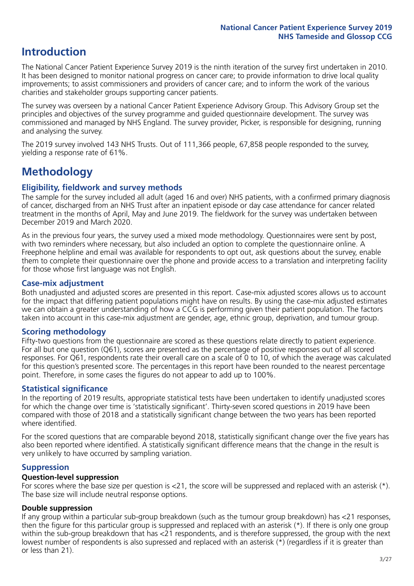## **Introduction**

The National Cancer Patient Experience Survey 2019 is the ninth iteration of the survey first undertaken in 2010. It has been designed to monitor national progress on cancer care; to provide information to drive local quality improvements; to assist commissioners and providers of cancer care; and to inform the work of the various charities and stakeholder groups supporting cancer patients.

The survey was overseen by a national Cancer Patient Experience Advisory Group. This Advisory Group set the principles and objectives of the survey programme and guided questionnaire development. The survey was commissioned and managed by NHS England. The survey provider, Picker, is responsible for designing, running and analysing the survey.

The 2019 survey involved 143 NHS Trusts. Out of 111,366 people, 67,858 people responded to the survey, yielding a response rate of 61%.

# **Methodology**

#### **Eligibility, eldwork and survey methods**

The sample for the survey included all adult (aged 16 and over) NHS patients, with a confirmed primary diagnosis of cancer, discharged from an NHS Trust after an inpatient episode or day case attendance for cancer related treatment in the months of April, May and June 2019. The fieldwork for the survey was undertaken between December 2019 and March 2020.

As in the previous four years, the survey used a mixed mode methodology. Questionnaires were sent by post, with two reminders where necessary, but also included an option to complete the questionnaire online. A Freephone helpline and email was available for respondents to opt out, ask questions about the survey, enable them to complete their questionnaire over the phone and provide access to a translation and interpreting facility for those whose first language was not English.

#### **Case-mix adjustment**

Both unadjusted and adjusted scores are presented in this report. Case-mix adjusted scores allows us to account for the impact that differing patient populations might have on results. By using the case-mix adjusted estimates we can obtain a greater understanding of how a CCG is performing given their patient population. The factors taken into account in this case-mix adjustment are gender, age, ethnic group, deprivation, and tumour group.

#### **Scoring methodology**

Fifty-two questions from the questionnaire are scored as these questions relate directly to patient experience. For all but one question (Q61), scores are presented as the percentage of positive responses out of all scored responses. For Q61, respondents rate their overall care on a scale of 0 to 10, of which the average was calculated for this question's presented score. The percentages in this report have been rounded to the nearest percentage point. Therefore, in some cases the figures do not appear to add up to 100%.

#### **Statistical significance**

In the reporting of 2019 results, appropriate statistical tests have been undertaken to identify unadjusted scores for which the change over time is 'statistically significant'. Thirty-seven scored questions in 2019 have been compared with those of 2018 and a statistically significant change between the two years has been reported where identified.

For the scored questions that are comparable beyond 2018, statistically significant change over the five years has also been reported where identified. A statistically significant difference means that the change in the result is very unlikely to have occurred by sampling variation.

#### **Suppression**

#### **Question-level suppression**

For scores where the base size per question is  $<$ 21, the score will be suppressed and replaced with an asterisk (\*). The base size will include neutral response options.

#### **Double suppression**

If any group within a particular sub-group breakdown (such as the tumour group breakdown) has <21 responses, then the figure for this particular group is suppressed and replaced with an asterisk (\*). If there is only one group within the sub-group breakdown that has <21 respondents, and is therefore suppressed, the group with the next lowest number of respondents is also supressed and replaced with an asterisk (\*) (regardless if it is greater than or less than 21).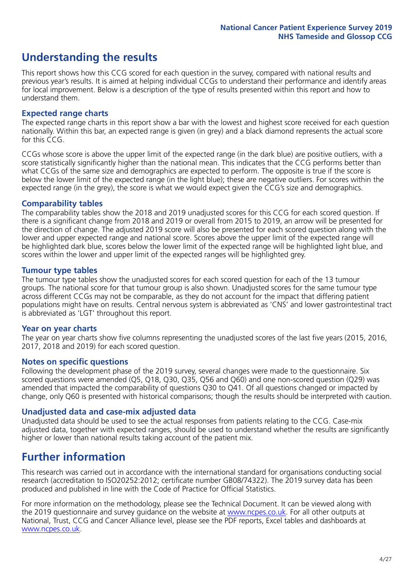# **Understanding the results**

This report shows how this CCG scored for each question in the survey, compared with national results and previous year's results. It is aimed at helping individual CCGs to understand their performance and identify areas for local improvement. Below is a description of the type of results presented within this report and how to understand them.

#### **Expected range charts**

The expected range charts in this report show a bar with the lowest and highest score received for each question nationally. Within this bar, an expected range is given (in grey) and a black diamond represents the actual score for this CCG.

CCGs whose score is above the upper limit of the expected range (in the dark blue) are positive outliers, with a score statistically significantly higher than the national mean. This indicates that the CCG performs better than what CCGs of the same size and demographics are expected to perform. The opposite is true if the score is below the lower limit of the expected range (in the light blue); these are negative outliers. For scores within the expected range (in the grey), the score is what we would expect given the CCG's size and demographics.

#### **Comparability tables**

The comparability tables show the 2018 and 2019 unadjusted scores for this CCG for each scored question. If there is a significant change from 2018 and 2019 or overall from 2015 to 2019, an arrow will be presented for the direction of change. The adjusted 2019 score will also be presented for each scored question along with the lower and upper expected range and national score. Scores above the upper limit of the expected range will be highlighted dark blue, scores below the lower limit of the expected range will be highlighted light blue, and scores within the lower and upper limit of the expected ranges will be highlighted grey.

#### **Tumour type tables**

The tumour type tables show the unadjusted scores for each scored question for each of the 13 tumour groups. The national score for that tumour group is also shown. Unadjusted scores for the same tumour type across different CCGs may not be comparable, as they do not account for the impact that differing patient populations might have on results. Central nervous system is abbreviated as 'CNS' and lower gastrointestinal tract is abbreviated as 'LGT' throughout this report.

#### **Year on year charts**

The year on year charts show five columns representing the unadjusted scores of the last five years (2015, 2016, 2017, 2018 and 2019) for each scored question.

#### **Notes on specific questions**

Following the development phase of the 2019 survey, several changes were made to the questionnaire. Six scored questions were amended (Q5, Q18, Q30, Q35, Q56 and Q60) and one non-scored question (Q29) was amended that impacted the comparability of questions Q30 to Q41. Of all questions changed or impacted by change, only Q60 is presented with historical comparisons; though the results should be interpreted with caution.

#### **Unadjusted data and case-mix adjusted data**

Unadjusted data should be used to see the actual responses from patients relating to the CCG. Case-mix adjusted data, together with expected ranges, should be used to understand whether the results are significantly higher or lower than national results taking account of the patient mix.

### **Further information**

This research was carried out in accordance with the international standard for organisations conducting social research (accreditation to ISO20252:2012; certificate number GB08/74322). The 2019 survey data has been produced and published in line with the Code of Practice for Official Statistics.

For more information on the methodology, please see the Technical Document. It can be viewed along with the 2019 questionnaire and survey quidance on the website at [www.ncpes.co.uk](https://www.ncpes.co.uk/supporting-documents). For all other outputs at National, Trust, CCG and Cancer Alliance level, please see the PDF reports, Excel tables and dashboards at [www.ncpes.co.uk.](https://www.ncpes.co.uk/current-results)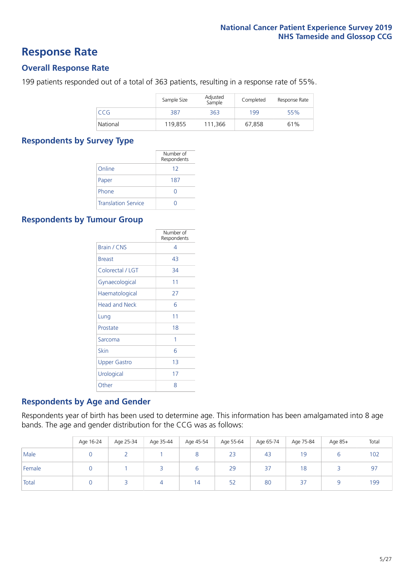### **Response Rate**

#### **Overall Response Rate**

199 patients responded out of a total of 363 patients, resulting in a response rate of 55%.

|          | Sample Size | Adjusted<br>Sample | Completed | Response Rate |
|----------|-------------|--------------------|-----------|---------------|
| CCG      | 387         | 363                | 199       | 55%           |
| National | 119,855     | 111.366            | 67,858    | 61%           |

#### **Respondents by Survey Type**

|                            | Number of<br>Respondents |
|----------------------------|--------------------------|
| Online                     | 12                       |
| Paper                      | 187                      |
| Phone                      | O                        |
| <b>Translation Service</b> |                          |

#### **Respondents by Tumour Group**

|                      | Number of<br>Respondents |
|----------------------|--------------------------|
| <b>Brain / CNS</b>   | 4                        |
| <b>Breast</b>        | 43                       |
| Colorectal / LGT     | 34                       |
| Gynaecological       | 11                       |
| Haematological       | 27                       |
| <b>Head and Neck</b> | 6                        |
| Lung                 | 11                       |
| Prostate             | 18                       |
| Sarcoma              | 1                        |
| Skin                 | 6                        |
| <b>Upper Gastro</b>  | 1 <sub>3</sub>           |
| Urological           | 17                       |
| Other                | 8                        |

#### **Respondents by Age and Gender**

Respondents year of birth has been used to determine age. This information has been amalgamated into 8 age bands. The age and gender distribution for the CCG was as follows:

|        | Age 16-24 | Age 25-34 | Age 35-44 | Age 45-54 | Age 55-64 | Age 65-74 | Age 75-84 | Age 85+ | Total |
|--------|-----------|-----------|-----------|-----------|-----------|-----------|-----------|---------|-------|
| Male   |           |           |           |           | 23        | 43        | 19        |         | 102   |
| Female |           |           |           |           | 29        | 37        | 18        |         | 97    |
| Total  |           |           |           | 14        | 52        | 80        | 37        |         | 199   |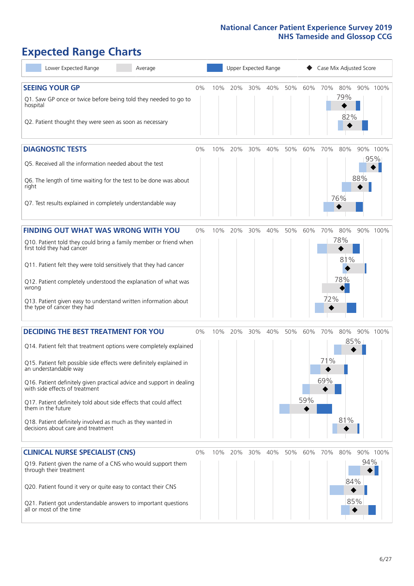# **Expected Range Charts**

| Lower Expected Range<br>Average                                                                                                                                                                                                                                                                                                                                                                                                                                                                                             |       |     | Upper Expected Range |     |         |     |            |                   | Case Mix Adjusted Score  |     |                 |
|-----------------------------------------------------------------------------------------------------------------------------------------------------------------------------------------------------------------------------------------------------------------------------------------------------------------------------------------------------------------------------------------------------------------------------------------------------------------------------------------------------------------------------|-------|-----|----------------------|-----|---------|-----|------------|-------------------|--------------------------|-----|-----------------|
| <b>SEEING YOUR GP</b><br>Q1. Saw GP once or twice before being told they needed to go to<br>hospital<br>Q2. Patient thought they were seen as soon as necessary                                                                                                                                                                                                                                                                                                                                                             | 0%    | 10% | 20%                  |     | 30% 40% | 50% | 60%        | 70%               | 80%<br>79%<br>82%        |     | 90% 100%        |
| <b>DIAGNOSTIC TESTS</b><br>Q5. Received all the information needed about the test<br>Q6. The length of time waiting for the test to be done was about<br>right<br>Q7. Test results explained in completely understandable way                                                                                                                                                                                                                                                                                               | 0%    | 10% | 20%                  | 30% | 40%     | 50% | 60%        | 70%               | 80%<br>76%               | 88% | 90% 100%<br>95% |
| <b>FINDING OUT WHAT WAS WRONG WITH YOU</b><br>Q10. Patient told they could bring a family member or friend when<br>first told they had cancer<br>Q11. Patient felt they were told sensitively that they had cancer<br>Q12. Patient completely understood the explanation of what was<br>wrong<br>Q13. Patient given easy to understand written information about<br>the type of cancer they had                                                                                                                             | 0%    | 10% | 20%                  | 30% | 40%     | 50% | 60%        | 70%<br>72%        | 80%<br>78%<br>81%<br>78% |     | 90% 100%        |
| <b>DECIDING THE BEST TREATMENT FOR YOU</b><br>Q14. Patient felt that treatment options were completely explained<br>Q15. Patient felt possible side effects were definitely explained in<br>an understandable way<br>Q16. Patient definitely given practical advice and support in dealing<br>with side effects of treatment<br>Q17. Patient definitely told about side effects that could affect<br>them in the future<br>Q18. Patient definitely involved as much as they wanted in<br>decisions about care and treatment | 0%    | 10% | 20%                  | 30% | 40%     | 50% | 60%<br>59% | 70%<br>71%<br>69% | 80%<br>85%<br>81%        |     | 90% 100%        |
| <b>CLINICAL NURSE SPECIALIST (CNS)</b><br>Q19. Patient given the name of a CNS who would support them<br>through their treatment<br>Q20. Patient found it very or quite easy to contact their CNS<br>Q21. Patient got understandable answers to important questions<br>all or most of the time                                                                                                                                                                                                                              | $0\%$ | 10% | 20%                  | 30% | 40%     | 50% | 60%        | 70%               | 80%<br>84%<br>85%        | 94% | 90% 100%        |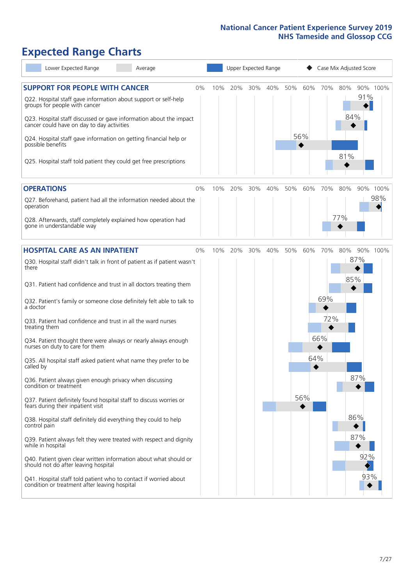# **Expected Range Charts**

| Lower Expected Range<br>Average                                                                                   |    |     | Upper Expected Range |     |     |     |     | Case Mix Adjusted Score |     |     |          |
|-------------------------------------------------------------------------------------------------------------------|----|-----|----------------------|-----|-----|-----|-----|-------------------------|-----|-----|----------|
| <b>SUPPORT FOR PEOPLE WITH CANCER</b><br>Q22. Hospital staff gave information about support or self-help          | 0% | 10% | 20%                  | 30% | 40% | 50% | 60% | 70%                     | 80% | 91% | 90% 100% |
| groups for people with cancer<br>Q23. Hospital staff discussed or gave information about the impact               |    |     |                      |     |     |     |     |                         | 84% |     |          |
| cancer could have on day to day activities<br>Q24. Hospital staff gave information on getting financial help or   |    |     |                      |     |     |     | 56% |                         |     |     |          |
| possible benefits                                                                                                 |    |     |                      |     |     |     |     |                         | 81% |     |          |
| Q25. Hospital staff told patient they could get free prescriptions                                                |    |     |                      |     |     |     |     |                         |     |     |          |
| <b>OPERATIONS</b>                                                                                                 | 0% | 10% | 20%                  | 30% | 40% | 50% | 60% | 70%                     | 80% |     | 90% 100% |
| Q27. Beforehand, patient had all the information needed about the<br>operation                                    |    |     |                      |     |     |     |     |                         |     |     | 98%      |
| Q28. Afterwards, staff completely explained how operation had<br>gone in understandable way                       |    |     |                      |     |     |     |     |                         | 77% |     |          |
| <b>HOSPITAL CARE AS AN INPATIENT</b>                                                                              | 0% | 10% | 20%                  | 30% | 40% | 50% | 60% | 70%                     | 80% |     | 90% 100% |
| Q30. Hospital staff didn't talk in front of patient as if patient wasn't<br>there                                 |    |     |                      |     |     |     |     |                         |     | 87% |          |
| Q31. Patient had confidence and trust in all doctors treating them                                                |    |     |                      |     |     |     |     |                         | 85% |     |          |
| Q32. Patient's family or someone close definitely felt able to talk to<br>a doctor                                |    |     |                      |     |     |     |     | 69%                     |     |     |          |
| Q33. Patient had confidence and trust in all the ward nurses<br>treating them                                     |    |     |                      |     |     |     |     | 72%                     |     |     |          |
| Q34. Patient thought there were always or nearly always enough<br>nurses on duty to care for them                 |    |     |                      |     |     |     |     | 66%                     |     |     |          |
| Q35. All hospital staff asked patient what name they prefer to be<br>called by                                    |    |     |                      |     |     |     | 64% |                         |     |     |          |
| Q36. Patient always given enough privacy when discussing<br>condition or treatment                                |    |     |                      |     |     |     |     |                         |     | 87% |          |
| Q37. Patient definitely found hospital staff to discuss worries or<br>fears during their inpatient visit          |    |     |                      |     |     |     | 56% |                         |     |     |          |
| Q38. Hospital staff definitely did everything they could to help<br>control pain                                  |    |     |                      |     |     |     |     |                         |     | 86% |          |
| Q39. Patient always felt they were treated with respect and dignity<br>while in hospital                          |    |     |                      |     |     |     |     |                         |     | 87% |          |
| Q40. Patient given clear written information about what should or<br>should not do after leaving hospital         |    |     |                      |     |     |     |     |                         |     | 92% |          |
| Q41. Hospital staff told patient who to contact if worried about<br>condition or treatment after leaving hospital |    |     |                      |     |     |     |     |                         |     | 93% |          |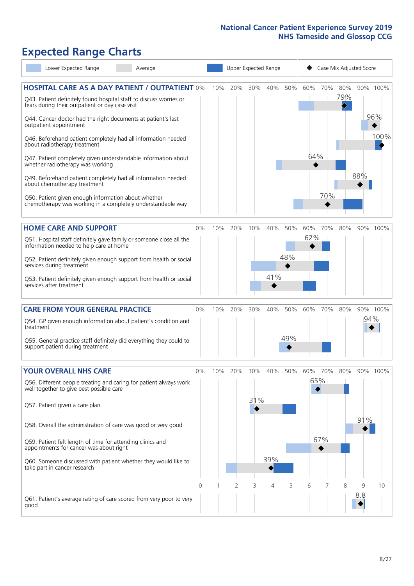# **Expected Range Charts**

| Lower Expected Range<br>Average                                                                                       |       |     |     |     | Upper Expected Range |     |     |     |     | Case Mix Adjusted Score |          |
|-----------------------------------------------------------------------------------------------------------------------|-------|-----|-----|-----|----------------------|-----|-----|-----|-----|-------------------------|----------|
| <b>HOSPITAL CARE AS A DAY PATIENT / OUTPATIENT 0%</b>                                                                 |       | 10% | 20% | 30% | 40%                  | 50% | 60% | 70% | 80% |                         | 90% 100% |
| Q43. Patient definitely found hospital staff to discuss worries or<br>fears during their outpatient or day case visit |       |     |     |     |                      |     |     |     | 79% |                         |          |
| Q44. Cancer doctor had the right documents at patient's last<br>outpatient appointment                                |       |     |     |     |                      |     |     |     |     |                         | 96%      |
| Q46. Beforehand patient completely had all information needed<br>about radiotherapy treatment                         |       |     |     |     |                      |     |     |     |     |                         | 100%     |
| Q47. Patient completely given understandable information about<br>whether radiotherapy was working                    |       |     |     |     |                      |     | 64% |     |     |                         |          |
| Q49. Beforehand patient completely had all information needed<br>about chemotherapy treatment                         |       |     |     |     |                      |     |     |     |     | 88%                     |          |
| Q50. Patient given enough information about whether<br>chemotherapy was working in a completely understandable way    |       |     |     |     |                      |     |     | 70% |     |                         |          |
| <b>HOME CARE AND SUPPORT</b>                                                                                          | $0\%$ | 10% | 20% | 30% | 40%                  | 50% | 60% | 70% | 80% |                         | 90% 100% |
| Q51. Hospital staff definitely gave family or someone close all the<br>information needed to help care at home        |       |     |     |     |                      |     | 62% |     |     |                         |          |
| Q52. Patient definitely given enough support from health or social<br>services during treatment                       |       |     |     |     |                      | 48% |     |     |     |                         |          |
| Q53. Patient definitely given enough support from health or social<br>services after treatment                        |       |     |     |     | 41%                  |     |     |     |     |                         |          |
| <b>CARE FROM YOUR GENERAL PRACTICE</b>                                                                                | $0\%$ | 10% | 20% | 30% | 40%                  | 50% | 60% | 70% | 80% |                         | 90% 100% |
| Q54. GP given enough information about patient's condition and<br>treatment                                           |       |     |     |     |                      |     |     |     |     | 94%                     |          |
| Q55. General practice staff definitely did everything they could to<br>support patient during treatment               |       |     |     |     |                      | 49% |     |     |     |                         |          |
| <b>YOUR OVERALL NHS CARE</b>                                                                                          | $0\%$ | 10% | 20% | 30% | 40%                  | 50% | 60% | 70% | 80% |                         | 90% 100% |
| Q56. Different people treating and caring for patient always work<br>well together to give best possible care         |       |     |     |     |                      |     |     | 65% |     |                         |          |
| Q57. Patient given a care plan                                                                                        |       |     |     | 31% |                      |     |     |     |     |                         |          |
| Q58. Overall the administration of care was good or very good                                                         |       |     |     |     |                      |     |     |     |     | 91%                     |          |
| Q59. Patient felt length of time for attending clinics and<br>appointments for cancer was about right                 |       |     |     |     |                      |     |     | 67% |     |                         |          |
| Q60. Someone discussed with patient whether they would like to<br>take part in cancer research                        |       |     |     |     | 39%                  |     |     |     |     |                         |          |
|                                                                                                                       | 0     |     | 2   | 3   | 4                    | 5   | 6   |     | 8   | 9                       | 10       |
| Q61. Patient's average rating of care scored from very poor to very<br>good                                           |       |     |     |     |                      |     |     |     |     | 8.8                     |          |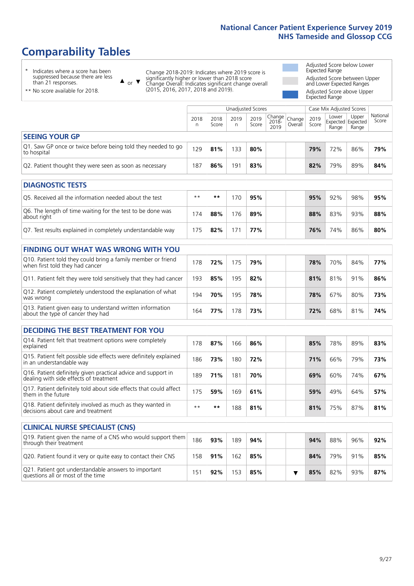# **Comparability Tables**

\* Indicates where a score has been suppressed because there are less than 21 responses.

\*\* No score available for 2018.

 $\triangle$  or  $\nabla$ 

Change 2018-2019: Indicates where 2019 score is significantly higher or lower than 2018 score Change Overall: Indicates significant change overall (2015, 2016, 2017, 2018 and 2019).

Adjusted Score below Lower Expected Range Adjusted Score between Upper and Lower Expected Ranges Adjusted Score above Upper Expected Range

|                                                                             | Case Mix Adjusted Scores<br>Unadjusted Scores |               |           |               |                                                       |         |               |                |                                     |                   |
|-----------------------------------------------------------------------------|-----------------------------------------------|---------------|-----------|---------------|-------------------------------------------------------|---------|---------------|----------------|-------------------------------------|-------------------|
|                                                                             | 2018<br>n                                     | 2018<br>Score | 2019<br>n | 2019<br>Score | $\sqrt{(\text{Change})^2}$ Change<br>$2018 -$<br>2019 | Overall | 2019<br>Score | Lower<br>Range | Upper<br>Expected Expected<br>Range | National<br>Score |
| <b>SEEING YOUR GP</b>                                                       |                                               |               |           |               |                                                       |         |               |                |                                     |                   |
| Q1. Saw GP once or twice before being told they needed to go<br>to hospital | 129                                           | 81%           | 133       | 80%           |                                                       |         | 79%           | 72%            | 86%                                 | 79%               |
| Q2. Patient thought they were seen as soon as necessary                     | 187                                           | 86%           | 191       | 83%           |                                                       |         | 82%           | 79%            | 89%                                 | 84%               |
| <b>DIAGNOSTIC TESTS</b>                                                     |                                               |               |           |               |                                                       |         |               |                |                                     |                   |
|                                                                             |                                               |               |           |               |                                                       |         |               |                |                                     |                   |

| O5. Received all the information needed about the test                    | $***$ | **  | 170 | 95% |  | 95% | 92% | 98% | 95% |
|---------------------------------------------------------------------------|-------|-----|-----|-----|--|-----|-----|-----|-----|
| Q6. The length of time waiting for the test to be done was<br>about right | 74    | 88% | 176 | 89% |  | 88% | 83% | 93% | 88% |
| Q7. Test results explained in completely understandable way               | 75    | 82% |     | 77% |  | 76% | 74% | 86% | 80% |

| <b>FINDING OUT WHAT WAS WRONG WITH YOU</b>                                                      |     |     |     |     |     |     |     |     |
|-------------------------------------------------------------------------------------------------|-----|-----|-----|-----|-----|-----|-----|-----|
| Q10. Patient told they could bring a family member or friend<br>when first told they had cancer | 178 | 72% | 175 | 79% | 78% | 70% | 84% | 77% |
| Q11. Patient felt they were told sensitively that they had cancer                               | 193 | 85% | 195 | 82% | 81% | 81% | 91% | 86% |
| Q12. Patient completely understood the explanation of what<br>was wrong                         | 194 | 70% | 195 | 78% | 78% | 67% | 80% | 73% |
| Q13. Patient given easy to understand written information<br>about the type of cancer they had  | 164 | 77% | 178 | 73% | 72% | 68% | 81% | 74% |

| <b>DECIDING THE BEST TREATMENT FOR YOU</b>                                                              |      |     |     |     |  |     |     |     |     |
|---------------------------------------------------------------------------------------------------------|------|-----|-----|-----|--|-----|-----|-----|-----|
| Q14. Patient felt that treatment options were completely<br>explained                                   | 178  | 87% | 166 | 86% |  | 85% | 78% | 89% | 83% |
| Q15. Patient felt possible side effects were definitely explained<br>in an understandable way           | 186  | 73% | 180 | 72% |  | 71% | 66% | 79% | 73% |
| Q16. Patient definitely given practical advice and support in<br>dealing with side effects of treatment | 189  | 71% | 181 | 70% |  | 69% | 60% | 74% | 67% |
| Q17. Patient definitely told about side effects that could affect<br>them in the future                 | 175  | 59% | 169 | 61% |  | 59% | 49% | 64% | 57% |
| Q18. Patient definitely involved as much as they wanted in<br>decisions about care and treatment        | $**$ | **  | 188 | 81% |  | 81% | 75% | 87% | 81% |

| <b>CLINICAL NURSE SPECIALIST (CNS)</b>                                                    |     |     |     |     |  |     |     |     |     |
|-------------------------------------------------------------------------------------------|-----|-----|-----|-----|--|-----|-----|-----|-----|
| Q19. Patient given the name of a CNS who would support them<br>through their treatment    | 186 | 93% | 189 | 94% |  | 94% | 88% | 96% | 92% |
| Q20. Patient found it very or quite easy to contact their CNS                             | 158 | 91% | 162 | 85% |  | 84% | 79% | 91% | 85% |
| Q21. Patient got understandable answers to important<br>questions all or most of the time | 51  | 92% | 153 | 85% |  | 85% | 82% | 93% | 87% |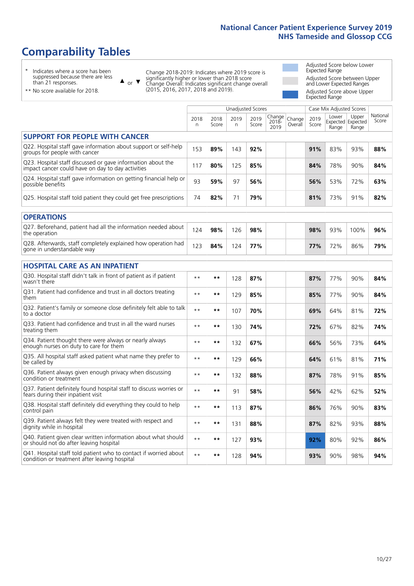# **Comparability Tables**

\* Indicates where a score has been suppressed because there are less than 21 responses.

\*\* No score available for 2018.

 $\triangle$  or  $\nabla$ 

Change 2018-2019: Indicates where 2019 score is significantly higher or lower than 2018 score Change Overall: Indicates significant change overall (2015, 2016, 2017, 2018 and 2019).

Adjusted Score below Lower Expected Range Adjusted Score between Upper and Lower Expected Ranges Adjusted Score above Upper Expected Range

|                                                                                                                   |              |               |           | Unadjusted Scores |                         |                   |               | Case Mix Adjusted Scores |                                     |                   |
|-------------------------------------------------------------------------------------------------------------------|--------------|---------------|-----------|-------------------|-------------------------|-------------------|---------------|--------------------------|-------------------------------------|-------------------|
|                                                                                                                   | 2018<br>n.   | 2018<br>Score | 2019<br>n | 2019<br>Score     | Change<br>2018-<br>2019 | Change<br>Overall | 2019<br>Score | Lower<br>Range           | Upper<br>Expected Expected<br>Range | National<br>Score |
| <b>SUPPORT FOR PEOPLE WITH CANCER</b>                                                                             |              |               |           |                   |                         |                   |               |                          |                                     |                   |
| Q22. Hospital staff gave information about support or self-help<br>groups for people with cancer                  | 153          | 89%           | 143       | 92%               |                         |                   | 91%           | 83%                      | 93%                                 | 88%               |
| Q23. Hospital staff discussed or gave information about the<br>impact cancer could have on day to day activities  | 117          | 80%           | 125       | 85%               |                         |                   | 84%           | 78%                      | 90%                                 | 84%               |
| Q24. Hospital staff gave information on getting financial help or<br>possible benefits                            | 93           | 59%           | 97        | 56%               |                         |                   | 56%           | 53%                      | 72%                                 | 63%               |
| Q25. Hospital staff told patient they could get free prescriptions                                                | 74           | 82%           | 71        | 79%               |                         |                   | 81%           | 73%                      | 91%                                 | 82%               |
| <b>OPERATIONS</b>                                                                                                 |              |               |           |                   |                         |                   |               |                          |                                     |                   |
| Q27. Beforehand, patient had all the information needed about<br>the operation                                    | 124          | 98%           | 126       | 98%               |                         |                   | 98%           | 93%                      | 100%                                | 96%               |
| Q28. Afterwards, staff completely explained how operation had<br>gone in understandable way                       | 123          | 84%           | 124       | 77%               |                         |                   | 77%           | 72%                      | 86%                                 | 79%               |
| <b>HOSPITAL CARE AS AN INPATIENT</b>                                                                              |              |               |           |                   |                         |                   |               |                          |                                     |                   |
| Q30. Hospital staff didn't talk in front of patient as if patient<br>wasn't there                                 | $* *$        | $***$         | 128       | 87%               |                         |                   | 87%           | 77%                      | 90%                                 | 84%               |
| Q31. Patient had confidence and trust in all doctors treating<br>them                                             | $**$         | **            | 129       | 85%               |                         |                   | 85%           | 77%                      | 90%                                 | 84%               |
| Q32. Patient's family or someone close definitely felt able to talk<br>to a doctor                                | $\star\star$ | **            | 107       | 70%               |                         |                   | 69%           | 64%                      | 81%                                 | 72%               |
| Q33. Patient had confidence and trust in all the ward nurses<br>treating them                                     | $\star\star$ | **            | 130       | 74%               |                         |                   | 72%           | 67%                      | 82%                                 | 74%               |
| Q34. Patient thought there were always or nearly always<br>enough nurses on duty to care for them                 | $**$         | $***$         | 132       | 67%               |                         |                   | 66%           | 56%                      | 73%                                 | 64%               |
| Q35. All hospital staff asked patient what name they prefer to<br>be called by                                    | $**$         | **            | 129       | 66%               |                         |                   | 64%           | 61%                      | 81%                                 | 71%               |
| Q36. Patient always given enough privacy when discussing<br>condition or treatment                                | $\star\star$ | **            | 132       | 88%               |                         |                   | 87%           | 78%                      | 91%                                 | 85%               |
| Q37. Patient definitely found hospital staff to discuss worries or<br>fears during their inpatient visit          | $\star\star$ | **            | 91        | 58%               |                         |                   | 56%           | 42%                      | 62%                                 | 52%               |
| Q38. Hospital staff definitely did everything they could to help<br>control pain                                  | $\star\star$ | **            | 113       | 87%               |                         |                   | 86%           | 76%                      | 90%                                 | 83%               |
| Q39. Patient always felt they were treated with respect and<br>dignity while in hospital                          | $\star\star$ | **            | 131       | 88%               |                         |                   | 87%           | 82%                      | 93%                                 | 88%               |
| Q40. Patient given clear written information about what should<br>or should not do after leaving hospital         | $**$         | **            | 127       | 93%               |                         |                   | 92%           | 80%                      | 92%                                 | 86%               |
| Q41. Hospital staff told patient who to contact if worried about<br>condition or treatment after leaving hospital | $**$         | **            | 128       | 94%               |                         |                   | 93%           | 90%                      | 98%                                 | 94%               |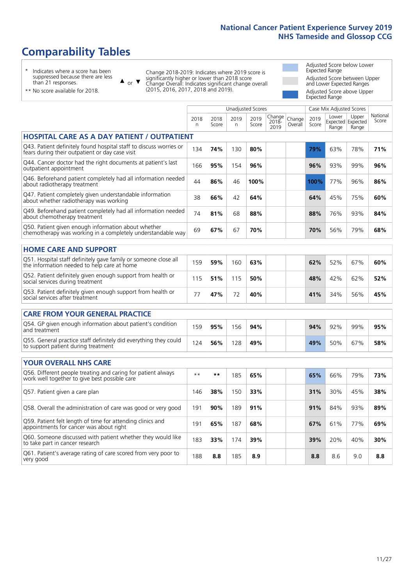# **Comparability Tables**

\* Indicates where a score has been suppressed because there are less than 21 responses.

\*\* No score available for 2018.

 $\triangle$  or  $\nabla$ 

Change 2018-2019: Indicates where 2019 score is significantly higher or lower than 2018 score Change Overall: Indicates significant change overall (2015, 2016, 2017, 2018 and 2019).

Adjusted Score below Lower Expected Range Adjusted Score between Upper and Lower Expected Ranges Adjusted Score above Upper Expected Range

|                                                                                                                       |              |               |            | Unadjusted Scores |                         |                   |               | Case Mix Adjusted Scores |                                     |                   |
|-----------------------------------------------------------------------------------------------------------------------|--------------|---------------|------------|-------------------|-------------------------|-------------------|---------------|--------------------------|-------------------------------------|-------------------|
|                                                                                                                       | 2018<br>n.   | 2018<br>Score | 2019<br>n. | 2019<br>Score     | Change<br>2018-<br>2019 | Change<br>Overall | 2019<br>Score | Lower<br>Range           | Upper<br>Expected Expected<br>Range | National<br>Score |
| <b>HOSPITAL CARE AS A DAY PATIENT / OUTPATIENT</b>                                                                    |              |               |            |                   |                         |                   |               |                          |                                     |                   |
| Q43. Patient definitely found hospital staff to discuss worries or<br>fears during their outpatient or day case visit | 134          | 74%           | 130        | 80%               |                         |                   | 79%           | 63%                      | 78%                                 | 71%               |
| Q44. Cancer doctor had the right documents at patient's last<br>outpatient appointment                                | 166          | 95%           | 154        | 96%               |                         |                   | 96%           | 93%                      | 99%                                 | 96%               |
| Q46. Beforehand patient completely had all information needed<br>about radiotherapy treatment                         | 44           | 86%           | 46         | 100%              |                         |                   | 100%          | 77%                      | 96%                                 | 86%               |
| Q47. Patient completely given understandable information<br>about whether radiotherapy was working                    | 38           | 66%           | 42         | 64%               |                         |                   | 64%           | 45%                      | 75%                                 | 60%               |
| Q49. Beforehand patient completely had all information needed<br>about chemotherapy treatment                         | 74           | 81%           | 68         | 88%               |                         |                   | 88%           | 76%                      | 93%                                 | 84%               |
| Q50. Patient given enough information about whether<br>chemotherapy was working in a completely understandable way    | 69           | 67%           | 67         | 70%               |                         |                   | 70%           | 56%                      | 79%                                 | 68%               |
| <b>HOME CARE AND SUPPORT</b>                                                                                          |              |               |            |                   |                         |                   |               |                          |                                     |                   |
| Q51. Hospital staff definitely gave family or someone close all<br>the information needed to help care at home        | 159          | 59%           | 160        | 63%               |                         |                   | 62%           | 52%                      | 67%                                 | 60%               |
| Q52. Patient definitely given enough support from health or<br>social services during treatment                       | 115          | 51%           | 115        | 50%               |                         |                   | 48%           | 42%                      | 62%                                 | 52%               |
| Q53. Patient definitely given enough support from health or<br>social services after treatment                        | 77           | 47%           | 72         | 40%               |                         |                   | 41%           | 34%                      | 56%                                 | 45%               |
| <b>CARE FROM YOUR GENERAL PRACTICE</b>                                                                                |              |               |            |                   |                         |                   |               |                          |                                     |                   |
| Q54. GP given enough information about patient's condition<br>and treatment                                           | 159          | 95%           | 156        | 94%               |                         |                   | 94%           | 92%                      | 99%                                 | 95%               |
| Q55. General practice staff definitely did everything they could<br>to support patient during treatment               | 124          | 56%           | 128        | 49%               |                         |                   | 49%           | 50%                      | 67%                                 | 58%               |
| <b>YOUR OVERALL NHS CARE</b>                                                                                          |              |               |            |                   |                         |                   |               |                          |                                     |                   |
| Q56. Different people treating and caring for patient always                                                          | $\star\star$ | **            |            |                   |                         |                   |               |                          |                                     |                   |
| work well together to give best possible care                                                                         |              |               | 185        | 65%               |                         |                   | 65%           | 66%                      | 79%                                 | 73%               |
| Q57. Patient given a care plan                                                                                        | 146          | 38%           | 150        | 33%               |                         |                   | 31%           | 30%                      | 45%                                 | 38%               |
| Q58. Overall the administration of care was good or very good                                                         | 191          | 90%           | 189        | 91%               |                         |                   | 91%           | 84%                      | 93%                                 | 89%               |
| Q59. Patient felt length of time for attending clinics and<br>appointments for cancer was about right                 | 191          | 65%           | 187        | 68%               |                         |                   | 67%           | 61%                      | 77%                                 | 69%               |
| Q60. Someone discussed with patient whether they would like<br>to take part in cancer research                        | 183          | 33%           | 174        | 39%               |                         |                   | 39%           | 20%                      | 40%                                 | 30%               |
| Q61. Patient's average rating of care scored from very poor to<br>very good                                           | 188          | 8.8           | 185        | 8.9               |                         |                   | 8.8           | 8.6                      | 9.0                                 | 8.8               |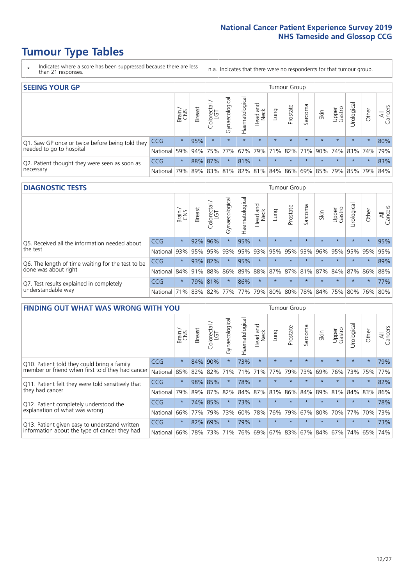- \* Indicates where a score has been suppressed because there are less than 21 responses.
- n.a. Indicates that there were no respondents for that tumour group.

| <b>SEEING YOUR GP</b>                           |            |         |               |                   |                |                |                  |                 | Tumour Group |         |         |                 |                                                 |         |                |
|-------------------------------------------------|------------|---------|---------------|-------------------|----------------|----------------|------------------|-----------------|--------------|---------|---------|-----------------|-------------------------------------------------|---------|----------------|
|                                                 |            | Brain   | <b>Breast</b> | Colorectal<br>LGT | Gynaecological | Haematological | Head and<br>Neck | Dung            | Prostate     | Sarcoma | Skin    | Upper<br>Gastro | Jrological                                      | Other   | All<br>Cancers |
| Q1. Saw GP once or twice before being told they | <b>CCG</b> | $\star$ | 95%           | $\star$           | $\star$        | $\star$        | $\star$          | $\star$         | $\star$      | $\star$ | $\star$ | $\star$         | $\star$                                         | $\star$ | 80%            |
| needed to go to hospital                        | National   | 59%     |               | 94% 75% 77%       |                |                |                  | 67% 79% 71% 82% |              |         |         |                 | 71% 90% 74% 83% 74%                             |         | 79%            |
| Q2. Patient thought they were seen as soon as   | <b>CCG</b> | $\star$ |               | 88% 87%           | $\star$        | 81%            | $\star$          | $\star$         | $\star$      | $\star$ | $\star$ | $\star$         | $\star$                                         | $\star$ | 83%            |
| necessary                                       | National l | 79%     |               |                   |                |                |                  |                 |              |         |         |                 | 89% 83% 81% 82% 81% 84% 86% 69% 85% 79% 85% 79% |         | 84%            |

#### **DIAGNOSTIC TESTS** Tumour Group

|                                                   |                                                                  | Brain   | <b>Breast</b> | Colorectal<br>LGT | त्त<br>Gynaecologic | Haematological | Head and<br>Neck | Lung    | Prostate | Sarcoma | Skin    | Upper<br>Gastro | Urological                                  | Other   | All<br>Cancers |
|---------------------------------------------------|------------------------------------------------------------------|---------|---------------|-------------------|---------------------|----------------|------------------|---------|----------|---------|---------|-----------------|---------------------------------------------|---------|----------------|
| Q5. Received all the information needed about     | <b>CCG</b>                                                       | $\star$ | 92%           | 96%               |                     | 95%            | $\star$          | $\star$ | $\star$  | $\star$ |         | $\star$         | $\star$                                     | $\star$ | 95%            |
| the test                                          | National                                                         | 93%     | 95%           | 95%               | 93%                 |                | 95% 93% 95%      |         | 95%      | 93%     | 96%     | 95%             | 95%                                         | 95%     | 95%            |
| Q6. The length of time waiting for the test to be | <b>CCG</b>                                                       | $\star$ | 93%           | 82%               | $\star$             | 95%            | $\star$          | $\star$ | $\star$  | $\star$ | $\star$ | $\star$         | $\star$                                     | $\star$ | 89%            |
| done was about right                              | National 84% 91%                                                 |         |               | 88%               |                     |                |                  |         |          |         |         |                 | 86% 89% 88% 87% 87% 81% 87% 84% 87% 86% 88% |         |                |
| Q7. Test results explained in completely          | <b>CCG</b>                                                       | $\star$ |               | 79% 81%           |                     | 86%            | $\star$          | $\star$ | $\star$  | $\star$ | $\star$ | $\star$         | $\star$                                     | $\star$ | 77%            |
| understandable way                                | National 71% 83% 82% 77% 77% 79% 80% 80% 78% 84% 75% 80% 76% 80% |         |               |                   |                     |                |                  |         |          |         |         |                 |                                             |         |                |

| <b>FINDING OUT WHAT WAS WRONG WITH YOU</b>        |            |         |               |                 |                |                |                        |             | <b>Tumour Group</b> |         |         |                 |           |         |                |
|---------------------------------------------------|------------|---------|---------------|-----------------|----------------|----------------|------------------------|-------------|---------------------|---------|---------|-----------------|-----------|---------|----------------|
|                                                   |            | Brain   | <b>Breast</b> | ╮<br>Colorectal | Gynaecological | Haematological | ad and<br>Neck<br>Head | Lung        | Prostate            | Sarcoma | Skin    | Upper<br>Gastro | Jrologica | Other   | All<br>Cancers |
| Q10. Patient told they could bring a family       | <b>CCG</b> | $\star$ | 84%           | 90%             | $\star$        | 73%            | $\star$                | $\star$     | $\star$             | $\star$ | $\star$ | $\star$         | $\star$   | $\star$ | 79%            |
| member or friend when first told they had cancer  | National   | 85%     | 82%           | 82%             | 71%            | 71%            | 71%                    | 77%         | 79%                 | 73%     | 69%     | 76%             | 73% 75%   |         | 77%            |
| Q11. Patient felt they were told sensitively that | CCG        | $\star$ | 98%           | 85%             | $\star$        | 78%            | $\star$                | $\star$     | $\star$             | $\star$ | $\star$ | $\star$         | $\star$   | $\star$ | 82%            |
| they had cancer                                   | National   | 79%     | 89%           | 87%             | 82%            | 84%            | 87%                    | 83%         | 86%                 | 84%     | 89%     | 81%             | 84% 83%   |         | 86%            |
| Q12. Patient completely understood the            | CCG        | $\star$ |               | 74% 85%         |                | 73%            | $\star$                | $\star$     | $\star$             |         |         | $\star$         | $\star$   | $\star$ | 78%            |
| explanation of what was wrong                     | National   | 66%     | 77%           | 79%             | 73%            | 60%            | 78%                    | 76%         | 79%                 | 67%     | 80%     | 70%             | 77%       | 70%     | 73%            |
| Q13. Patient given easy to understand written     | <b>CCG</b> | $\star$ | 82%           | 69%             | $\star$        | 79%            | $\star$                | $\star$     | $\star$             | $\star$ | $\star$ | $\star$         | $\star$   | $\ast$  | 73%            |
| information about the type of cancer they had     | National   | 66%     |               | 78% 73%         | 71%            | 76%            |                        | 69% 67% 83% |                     |         | 67% 84% | 67%             | 74%       | 65%     | 74%            |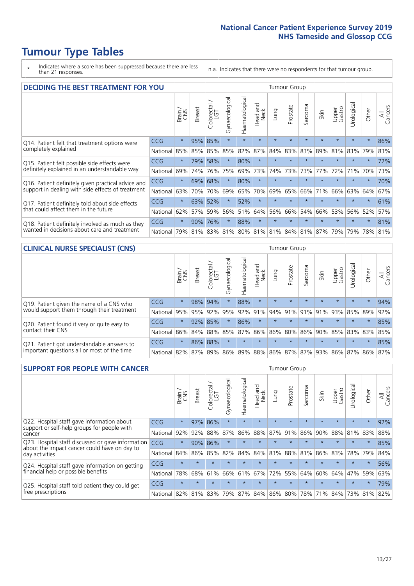\* Indicates where a score has been suppressed because there are less than 21 responses.

n.a. Indicates that there were no respondents for that tumour group.

| <b>DECIDING THE BEST TREATMENT FOR YOU</b>         |            |         |               |                             |                |                |                        |                                     | <b>Tumour Group</b> |         |         |                 |            |         |                |
|----------------------------------------------------|------------|---------|---------------|-----------------------------|----------------|----------------|------------------------|-------------------------------------|---------------------|---------|---------|-----------------|------------|---------|----------------|
|                                                    |            | Brain   | <b>Breast</b> | olorectal.<br>LGT<br>$\cup$ | Gynaecological | Haematological | ad and<br>Neck<br>Head | Lung                                | Prostate            | Sarcoma | Skin    | Upper<br>Gastro | Jrological | Other   | All<br>Cancers |
| Q14. Patient felt that treatment options were      | CCG        | $\star$ | 95%           | 85%                         | $\star$        | $\star$        | $\star$                | $\star$                             | $\star$             | $\star$ | $\star$ | $\star$         | $\star$    | $\star$ | 86%            |
| completely explained                               | National   | 85%     | 85%           | 85%                         | 85%            | 82%            | 87%                    | 84%                                 | 83%                 | 83%     | 89%     | 81%             | 83%        | 79%     | 83%            |
| Q15. Patient felt possible side effects were       | CCG        | $\star$ | 79%           | 58%                         | $\star$        | 80%            | $\star$                | $\star$                             | $\star$             |         |         | $\star$         | $\star$    | $\star$ | 72%            |
| definitely explained in an understandable way      | National   | 69%     | 74%           | 76%                         | 75%            | 69%            | 73%                    | 74%                                 | 73%                 | 73%     | 77%     | 72%             | 71%        | 70%     | 73%            |
| Q16. Patient definitely given practical advice and | <b>CCG</b> | $\star$ | 69%           | 68%                         | $\star$        | 80%            | $\star$                | $\star$                             | $\star$             | $\star$ | $\star$ | $\star$         | $\star$    | $\star$ | 70%            |
| support in dealing with side effects of treatment  | National   | 63%     | 70%           | 70%                         | 69%            | 65%            | 70%                    | 69%                                 | 65%                 | 66%     | 71%     | 66%             | 63%        | 64%     | 67%            |
| Q17. Patient definitely told about side effects    | CCG        | $\star$ | 63%           | 52%                         | $\star$        | 52%            | $\star$                | $\star$                             | $\star$             | $\star$ |         | $\star$         | $\star$    | $\star$ | 61%            |
| that could affect them in the future               | National   | 62%     | 57%           | 59%                         | 56%            | 51%            | 64%                    | 56%                                 | 66%                 | 54%     | 66%     | 53%             | 56%        | 52%     | 57%            |
| Q18. Patient definitely involved as much as they   | <b>CCG</b> | $\star$ | 90%           | 76%                         | $\star$        | 88%            | $\star$                | $\star$                             | $\star$             | $\star$ | $\star$ | $\star$         | $\star$    | $\star$ | 81%            |
| wanted in decisions about care and treatment       | National   | 79%     |               |                             |                |                |                        | 81% 83% 81% 80% 81% 81% 84% 81% 87% |                     |         |         | 79%             | 79%        | 78% 81% |                |

#### **CLINICAL NURSE SPECIALIST (CNS)** Tumour Group

|                                                |            | Brain   | <b>Breast</b> | Colorectal<br>LGT | $\sigma$<br>Gynaecologic | Haematological | Head and<br>Neck | Lung    | Prostate | Sarcoma            | Skin                        | Upper<br>Gastro | rological                                   | Other   | All<br>Cancers |
|------------------------------------------------|------------|---------|---------------|-------------------|--------------------------|----------------|------------------|---------|----------|--------------------|-----------------------------|-----------------|---------------------------------------------|---------|----------------|
| Q19. Patient given the name of a CNS who       | <b>CCG</b> | $\star$ |               | 98% 94%           |                          | 88%            | $\star$          | $\star$ | $\star$  | $\star$            | $\star$                     | $\star$         | $\star$                                     | $\star$ | 94%            |
| would support them through their treatment     | National   | 95%     | 95%           | 92%               | 95%                      | $ 92\% 91\% $  |                  |         |          | $ 94\% 91\% 91\% $ | 91%                         | 93%             | 85% 89%                                     |         | 92%            |
| Q20. Patient found it very or quite easy to    | CCG        | $\star$ |               | 92% 85%           |                          | 86%            | $\star$          | $\star$ | $\star$  | $\star$            | $\star$                     | $\star$         | $\star$                                     | $\star$ | 85%            |
| contact their CNS                              | National   | 86%     |               | 84% 88% 85%       |                          |                |                  |         |          |                    | 87% 86% 86% 80% 86% 90% 85% |                 | 83% 83%                                     |         | 85%            |
| . Patient got understandable answers to<br>021 | CCG        | $\star$ |               | 86% 88%           | $\star$                  | $\star$        | $\star$          | $\star$ | $\star$  | $\star$            | $\star$                     | $\star$         | $\star$                                     | $\star$ | 85%            |
| important questions all or most of the time    | National   | 82%     |               | 87% 89%           |                          |                |                  |         |          |                    |                             |                 | 86% 89% 88% 86% 87% 87% 93% 86% 87% 86% 87% |         |                |

| <b>SUPPORT FOR PEOPLE WITH CANCER</b>                                                             |            |         |               |                        |                |                |                        |             | <b>Tumour Group</b> |         |         |                 |           |         |                |
|---------------------------------------------------------------------------------------------------|------------|---------|---------------|------------------------|----------------|----------------|------------------------|-------------|---------------------|---------|---------|-----------------|-----------|---------|----------------|
|                                                                                                   |            | Brain   | <b>Breast</b> | olorectal.<br>LGT<br>Ũ | Gynaecological | Haematological | ad and<br>Neck<br>Head | Lung        | Prostate            | Sarcoma | Skin    | Upper<br>Gastro | Jrologica | Other   | All<br>Cancers |
| Q22. Hospital staff gave information about<br>support or self-help groups for people with         | <b>CCG</b> | $\star$ | 97%           | 86%                    | $\star$        | $\star$        | $\star$                | $\star$     | $\star$             | $\star$ | $\star$ | $\star$         | $\star$   | $\star$ | 92%            |
| cancer                                                                                            | National   | 92%     | 92%           | 88%                    | 87%            | 86%            | 88%                    | 87%         | 91%                 | 86%     | 90%     | 88%             | 81%       | 83%     | 88%            |
| Q23. Hospital staff discussed or gave information<br>about the impact cancer could have on day to | CCG        | $\star$ | 90%           | 86%                    | $\star$        |                | $\star$                | $\star$     | $\star$             | $\star$ | $\star$ | $\star$         | $\star$   | $\star$ | 85%            |
| day activities                                                                                    | National   | 84%     | 86%           | 85%                    | 82%            | 84%            | 84%                    | 83%         | 88%                 | 81%     | 86%     | 83%             | 78%       | 79%     | 84%            |
| Q24. Hospital staff gave information on getting                                                   | CCG        | $\star$ | $\star$       | $\star$                |                |                | $\star$                | $\star$     | $\star$             | $\star$ | $\star$ | $\star$         | $\star$   | $\star$ | 56%            |
| financial help or possible benefits                                                               | National   | 78%     | 68%           | 61%                    | 66%            | 61%            | 67%                    | 72%         | 55%                 | 64%     | 60%     | 64%             | 47%       | 59%     | 63%            |
| Q25. Hospital staff told patient they could get                                                   | <b>CCG</b> | $\star$ | $\star$       | $\star$                | $\star$        | $\star$        | $\star$                | $\star$     | $\star$             | $\star$ | $\star$ | $\star$         | $\star$   | $\ast$  | 79%            |
| free prescriptions                                                                                | National I | 82%     |               | 81% 83%                | 79%            | 87%            |                        | 84% 86% 80% |                     |         | 78% 71% | $84\%$          |           | 73% 81% | 82%            |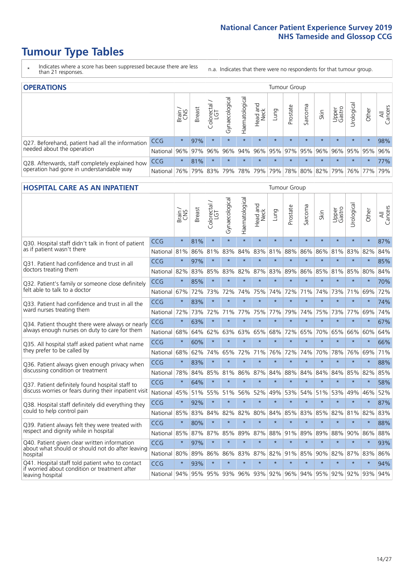- \* Indicates where a score has been suppressed because there are less than 21 responses.
- n.a. Indicates that there were no respondents for that tumour group.

| <b>OPERATIONS</b>                                |            |              |               |                       |                   |                |                             |             | Tumour Group |         |         |                 |                                             |         |                |
|--------------------------------------------------|------------|--------------|---------------|-----------------------|-------------------|----------------|-----------------------------|-------------|--------------|---------|---------|-----------------|---------------------------------------------|---------|----------------|
|                                                  |            | Brain<br>CNS | <b>Breast</b> | olorectal<br>LGT<br>Ũ | ক<br>Gynaecologic | Haematological | Head and<br>Neck            | <b>Dung</b> | Prostate     | Sarcoma | Skin    | Upper<br>Gastro | Urological                                  | Other   | All<br>Cancers |
| Q27. Beforehand, patient had all the information | <b>CCG</b> | $\star$      | 97%           | $\star$               | $\star$           | $\star$        | $\star$                     | $\star$     | $\star$      | $\star$ | $\star$ | $\star$         | $\star$                                     | $\star$ | 98%            |
| needed about the operation                       | National   | 96%          |               | 97% 96%               |                   |                | 96% 94% 96% 95% 97% 95% 96% |             |              |         |         |                 | 96% 95% 95%                                 |         | 96%            |
| Q28. Afterwards, staff completely explained how  | CCG        | $\star$      | 81%           | $\star$               | $\star$           | $\star$        | $\star$                     | $\star$     | $\star$      | $\star$ | $\star$ | $\star$         | $\star$                                     | $\star$ | 77%            |
| operation had gone in understandable way         | National   | 76%          |               | 79% 83%               |                   |                |                             |             |              |         |         |                 | 79% 78% 79% 79% 78% 80% 82% 79% 76% 77% 79% |         |                |

#### **HOSPITAL CARE AS AN INPATIENT** Tumour Group

|                                                                                                   |              | Brain   | Breast | Colorectal /<br>LGT | Gynaecological | Haematological | Head and<br>Neck | Lung        | Prostate | Sarcoma | Skin            | Upper<br>Gastro | Urological | Other   | All<br>Cancers |
|---------------------------------------------------------------------------------------------------|--------------|---------|--------|---------------------|----------------|----------------|------------------|-------------|----------|---------|-----------------|-----------------|------------|---------|----------------|
| Q30. Hospital staff didn't talk in front of patient                                               | CCG          | $\star$ | 81%    | $\star$             | $\star$        | $\star$        | $\star$          | $\star$     | $\star$  | $\star$ | $\star$         | $\star$         | $\star$    | $\star$ | 87%            |
| as if patient wasn't there                                                                        | National     | 81%     | 86%    | 81%                 | 83%            | 84%            | 83%              | 81%         | 88%      | 86%     | 86%             | 81%             | 83%        | 82%     | 84%            |
| 031. Patient had confidence and trust in all                                                      | CCG          | $\star$ | 97%    | $\star$             | $\star$        | $\star$        | $\star$          | $\star$     | $\star$  | $\star$ | $\star$         | $\star$         | $\star$    | $\star$ | 85%            |
| doctors treating them                                                                             | National     | 82%     | 83%    | 85%                 | 83%            | 82%            |                  | 87% 83%     | 89%      | 86%     | 85%             | 81%             | 85%        | 80%     | 84%            |
| Q32. Patient's family or someone close definitely                                                 | CCG          | $\star$ | 85%    | $\star$             | $\star$        | $\star$        | $\star$          | $\star$     | $\star$  | $\star$ | $\star$         | $\star$         | $\star$    | $\star$ | 70%            |
| felt able to talk to a doctor                                                                     | National     | 67%     | 72%    | 73%                 | 72%            | 74%            | 75%              | 74%         | 72%      | 71%     | 74%             | 73%             | 71%        | 69%     | 72%            |
| O33. Patient had confidence and trust in all the<br>ward nurses treating them                     | CCG          | $\star$ | 83%    | $\star$             | $\star$        | $\star$        | $\star$          | $\star$     | $\star$  | $\star$ | $\star$         | $\star$         | $\star$    | $\star$ | 74%            |
|                                                                                                   | National     | 72%     | 73%    | 72%                 | 71%            | 77%            | 75%              | 77%         | 79%      | 74%     | 75%             | 73%             | 77%        | 69%     | 74%            |
| Q34. Patient thought there were always or nearly<br>always enough nurses on duty to care for them | CCG          | $\star$ | 63%    | $\star$             | $\star$        | $\star$        | $\star$          | $\star$     | $\star$  | $\star$ | $\star$         | $\star$         | $\star$    | $\star$ | 67%            |
|                                                                                                   | National     | 68%     | 64%    | 62%                 | 63%            | 63%            | 65%              | 68%         | 72%      | 65%     | 70%             | 65%             | 66%        | 60%     | 64%            |
| Q35. All hospital staff asked patient what name<br>they prefer to be called by                    | CCG          | $\star$ | 60%    | $\star$             | $\star$        | $\star$        | $\star$          | $\star$     | $\star$  | $\star$ | $\star$         | $\star$         | $\star$    | $\star$ | 66%            |
|                                                                                                   | National     | 68%     | 62%    | 74%                 | 65%            | 72%            | 71%              | 76%         | 72%      | 74%     | 70%             | 78%             | 76%        | 69%     | 71%            |
| Q36. Patient always given enough privacy when                                                     | CCG          | $\star$ | 83%    | $\star$             | $\star$        | $\star$        | $\star$          | $\star$     | $\star$  | $\star$ | $\star$         | $\star$         | $\star$    | $\star$ | 88%            |
| discussing condition or treatment                                                                 | National     | 78%     | 84%    | 85%                 | 81%            | 86%            |                  | 87% 84%     | 88%      | 84%     | 84%             | 84%             | 85%        | 82%     | 85%            |
| Q37. Patient definitely found hospital staff to                                                   | <b>CCG</b>   | $\star$ | 64%    | $\star$             |                | $\star$        | $\star$          | $\star$     | $\star$  | $\star$ | $\star$         |                 | $\star$    | $\star$ | 58%            |
| discuss worries or fears during their inpatient visit                                             | National     | 45%     | 51%    | 55%                 | 51%            | 56%            | 52%              | 49%         | 53%      | 54%     | 51%             | 53%             | 49%        | 46%     | 52%            |
| Q38. Hospital staff definitely did everything they                                                | CCG          | $\star$ | 92%    | $\star$             | $\star$        | $\star$        | $\star$          | $\star$     | $\star$  | $\star$ | $\star$         | $\star$         | $\star$    | $\star$ | 87%            |
| could to help control pain                                                                        | National     | 85%     | 83%    | 84%                 | 82%            | 82%            | 80%              | 84%         | 85%      | 83%     | 85%             | 82%             | 81%        | 82%     | 83%            |
| Q39. Patient always felt they were treated with                                                   | CCG          | $\star$ | 80%    | $\star$             | $\star$        | $\star$        | $\star$          | $\star$     | $\star$  | $\star$ | $\star$         | $\star$         | $\star$    | $\star$ | 88%            |
| respect and dignity while in hospital                                                             | National     | 85%     | 87%    | 87%                 | 85%            | 89%            |                  | 87% 88%     | 91%      | 89%     | 89%             | 88%             | 90%        | 86%     | 88%            |
| Q40. Patient given clear written information<br>about what should or should not do after leaving  | CCG          | $\star$ | 97%    | $\star$             | $\star$        | $\star$        | $\star$          | $\star$     | $\star$  | $\star$ | $\star$         | $\star$         | $\star$    | $\star$ | 93%            |
| hospital                                                                                          | National     | 80%     | 89%    | 86%                 | 86%            | 83%            |                  | 87% 82%     | 91%      | 85%     | 90%             | 82%             | 87%        | 83%     | 86%            |
| Q41. Hospital staff told patient who to contact<br>if worried about condition or treatment after  | CCG          | $\star$ | 93%    | $\star$             | $\star$        | $\star$        | $\star$          | $\star$     | $\star$  | $\star$ | $\star$         | $\star$         | $\star$    | $\star$ | 94%            |
| leaving hospital                                                                                  | National 94% |         |        | 95% 95% 93%         |                |                |                  | 96% 93% 92% |          |         | 96% 94% 95% 92% |                 | 92%        | 93%     | 94%            |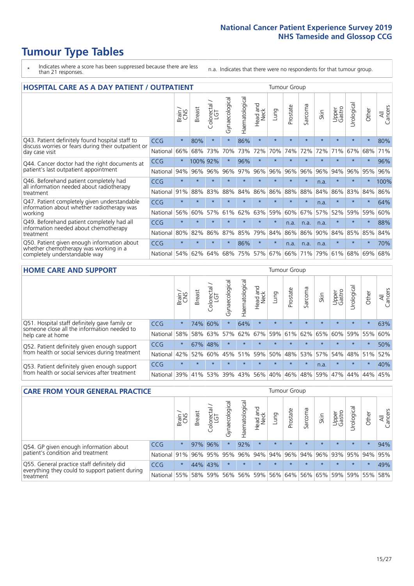- \* Indicates where a score has been suppressed because there are less than 21 responses.
- n.a. Indicates that there were no respondents for that tumour group.

| <b>HOSPITAL CARE AS A DAY PATIENT / OUTPATIENT</b>                                                                    |            |         |               |                            |                |                |                         | <b>Tumour Group</b> |          |         |         |                 |            |         |                |  |
|-----------------------------------------------------------------------------------------------------------------------|------------|---------|---------------|----------------------------|----------------|----------------|-------------------------|---------------------|----------|---------|---------|-----------------|------------|---------|----------------|--|
|                                                                                                                       |            | Brain   | <b>Breast</b> | ╮<br>olorectal<br>LGT<br>Ũ | Gynaecological | Haematological | ead and<br>Neck<br>Head | Lung                | Prostate | Sarcoma | Skin    | Upper<br>Gastro | Urological | Other   | All<br>Cancers |  |
| Q43. Patient definitely found hospital staff to                                                                       | CCG        | $\star$ | 80%           | $\star$                    | $\star$        | 86%            | $\star$                 | $\star$             | $\star$  | $\star$ | $\star$ | $\star$         | $\star$    | $\star$ | 80%            |  |
| discuss worries or fears during their outpatient or<br>day case visit                                                 | National   | 66%     | 68%           | 73%                        | 70%            | 73%            | 72%                     | 70%                 | 74%      | 72%     | 72%     | 71%             | 67%        | 68%     | 71%            |  |
| Q44. Cancer doctor had the right documents at<br>patient's last outpatient appointment                                | <b>CCG</b> | $\star$ | 100% 92%      |                            | $^\star$       | 96%            | $\star$                 | $\star$             | $\star$  | $\star$ |         |                 | $\star$    | $\star$ | 96%            |  |
|                                                                                                                       | National   | 94%     | 96%           | 96%                        | 96%            | 97%            | 96%                     | 96%                 | 96%      | 96%     | 96%     | 94%             | 96%        | 95%     | 96%            |  |
| Q46. Beforehand patient completely had                                                                                | CCG        | $\star$ | $\star$       | $\star$                    |                | $\star$        | $\star$                 | $\star$             | $\star$  | $\star$ | n.a.    | $\star$         | $\star$    | $\star$ | 100%           |  |
| all information needed about radiotherapy<br>treatment                                                                | National   | 91%     | 88%           | 83%                        | 88%            | 84%            | 86%                     | 86%                 | 88%      | 88%     | 84%     | 86%             | 83%        | 84%     | 86%            |  |
| Q47. Patient completely given understandable                                                                          | CCG        | $\star$ | $\star$       | $\star$                    |                |                | $\star$                 | $\star$             | $\star$  | $\star$ | n.a.    | $\star$         | $\star$    | $\star$ | 64%            |  |
| information about whether radiotherapy was<br>working                                                                 | National   | 56%     | 60%           | 57%                        | 61%            | 62%            | 63%                     | 59%                 | 60%      | 67%     | 57%     | 52%             | 59%        | 59%     | 60%            |  |
| Q49. Beforehand patient completely had all                                                                            | CCG        | $\star$ | $\star$       | $\star$                    | $\star$        | $\star$        | $\star$                 | $\star$             | n.a.     | n.a.    | n.a.    | $\star$         | $^\star$   | $\ast$  | 88%            |  |
| information needed about chemotherapy<br>treatment                                                                    | National   | 80%     | 82%           | 86%                        | 87%            | 85%            | 79%                     | 84%                 | 86%      | 86%     | 90%     | 84%             | 85%        | 85%     | 84%            |  |
| Q50. Patient given enough information about<br>whether chemotherapy was working in a<br>completely understandable way | <b>CCG</b> | $\star$ | $\star$       |                            |                | 86%            | $\star$                 | $\star$             | n.a.     | n.a.    | n.a.    |                 |            | $\star$ | 70%            |  |
|                                                                                                                       | National   | 54%     | 62%           | 64%                        | 68%            | 75%            |                         | 57% 67%             | 66%      | 71%     | 79%     | 61%             | 68%        | 69%     | 68%            |  |

#### **HOME CARE AND SUPPORT** Tumour Group

|                                                                                                                   |            | Brain   | <b>Breast</b> | olorectal<br>LGT<br>Ũ | ᢛ<br>Gynaecologic | Haematological | ad and<br>Neck<br>Head | <b>Dung</b> | Prostate | Sarcoma | Skin    | Upper<br>Gastro | rological | Other   | All<br>Cancers |
|-------------------------------------------------------------------------------------------------------------------|------------|---------|---------------|-----------------------|-------------------|----------------|------------------------|-------------|----------|---------|---------|-----------------|-----------|---------|----------------|
| Q51. Hospital staff definitely gave family or<br>someone close all the information needed to<br>help care at home | <b>CCG</b> | $\star$ | 74%           | 60%                   |                   | 64%            | $\star$                | $\star$     | $\star$  | $\star$ | $\star$ | $\star$         | $\star$   | $\star$ | 63%            |
|                                                                                                                   | National   | 58%     | 58%           | 63%                   | 57%               | 62%            | 67%                    |             | 59% 61%  | 62% 65% |         | 60%             | 59% 55%   |         | 60%            |
| Q52. Patient definitely given enough support<br>from health or social services during treatment                   | <b>CCG</b> | $\star$ |               | 67% 48%               | $\star$           | $\star$        | $\star$                | $\star$     | $\star$  | $\star$ | $\star$ | $\star$         | $\star$   | $\star$ | 50%            |
|                                                                                                                   | National   | 42%     | 52%           | 60%                   | 45%               | 51%            | 59%                    | 50%         | 48%      | 53%     | 57%     | 54%             | 48% 51%   |         | 52%            |
| Q53. Patient definitely given enough support<br>from health or social services after treatment                    | <b>CCG</b> | $\star$ |               | $\star$               | $\star$           |                | $\star$                | $\star$     | $\star$  | $\star$ | n.a.    | $\star$         | $\star$   | $\star$ | 40%            |
|                                                                                                                   | National   | 39%     | 41% 53%       |                       | 39%               | 43%            | 56%                    | 40%         | 46%      | 48%     | 59%     | 47%             | 44%       | 44%     | 45%            |

| <b>CARE FROM YOUR GENERAL PRACTICE</b>                                                                     |              |         |               |                   |                |                | Tumour Group     |         |          |         |         |                     |                |         |                |
|------------------------------------------------------------------------------------------------------------|--------------|---------|---------------|-------------------|----------------|----------------|------------------|---------|----------|---------|---------|---------------------|----------------|---------|----------------|
|                                                                                                            |              | Brain   | <b>Breast</b> | Colorectal<br>LGT | Gynaecological | Haematological | Head and<br>Neck | Lung    | Prostate | Sarcoma | Skin    | Upper<br>Gastro     | Φ<br>Urologica | Other   | All<br>Cancers |
| Q54. GP given enough information about<br>patient's condition and treatment                                | <b>CCG</b>   | $\star$ |               | 97% 96%           | $\star$        | 92%            | $\star$          | $\star$ | $\star$  | $\star$ | $\star$ | $\star$             | $\star$        | $\star$ | 94%            |
|                                                                                                            | National 91% |         |               | 96% 95%           | 95%            |                | 96% 94% 94% 96%  |         |          |         |         | 94% 96% 93% 95% 94% |                |         | 95%            |
| Q55. General practice staff definitely did<br>everything they could to support patient during<br>treatment | <b>CCG</b>   | $\star$ |               | 44% 43%           | $\star$        | $\star$        | $\star$          | $\star$ | $\star$  | $\star$ | $\star$ | $\star$             | $\star$        | $\star$ | 49%            |
|                                                                                                            | National 55% |         | 58%           | 59%               | 56%            |                | 56% 59%          |         | 56% 64%  |         |         | 56% 65% 59% 59% 55% |                |         | 58%            |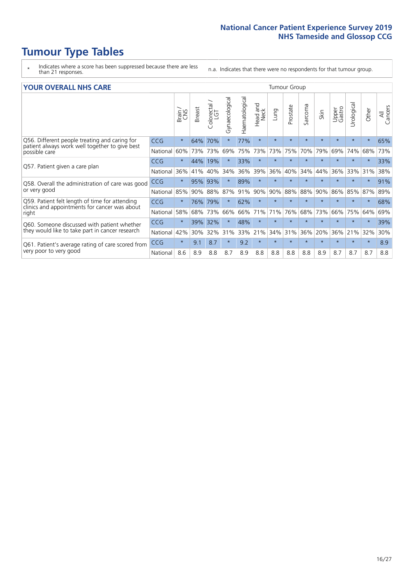- \* Indicates where a score has been suppressed because there are less than 21 responses.
- n.a. Indicates that there were no respondents for that tumour group.

#### **YOUR OVERALL NHS CARE** THE TWO CONTROLLER THE THE THEORY OF THE THEORY OF THE TUMOUR Group

|                                                                                                                  |            | Brain   | <b>Breast</b> | olorectal<br>LGT<br>Ü | Gynaecological | ematological<br>Ě | <b>Bad and</b><br>Neck<br>Head | Lung    | Prostate | Sarcoma | Skin    | Upper<br>Gastro | Urologica | Other   | All<br>Cancers |
|------------------------------------------------------------------------------------------------------------------|------------|---------|---------------|-----------------------|----------------|-------------------|--------------------------------|---------|----------|---------|---------|-----------------|-----------|---------|----------------|
| Q56. Different people treating and caring for<br>patient always work well together to give best<br>possible care | <b>CCG</b> | $\star$ | 64%           | 70%                   | $\star$        | 77%               | $\star$                        | $\star$ | $\star$  | $\star$ | $\star$ | $\star$         | $\star$   | $\star$ | 65%            |
|                                                                                                                  | National   | 60%     | 73%           | 73%                   | 69%            | 75%               | 73%                            | 73%     | 75%      | 70%     | 79%     | 69%             | 74%       | 68%     | 73%            |
| Q57. Patient given a care plan                                                                                   | <b>CCG</b> | $\star$ | 44%           | 19%                   |                | 33%               | $\star$                        | $\star$ | $\star$  | $\star$ | $\star$ | $\star$         | $\star$   | $\star$ | 33%            |
|                                                                                                                  | National   | 36%     | 41%           | 40%                   | 34%            | 36%               | 39%                            | 36%     | 40%      | 34%     | 44%     | 36%             | 33%       | 31%     | 38%            |
| Q58. Overall the administration of care was good                                                                 | <b>CCG</b> | $\star$ | 95%           | 93%                   |                | 89%               | $\star$                        | $\star$ | $\star$  | $\star$ | $\star$ |                 |           |         | 91%            |
| or very good                                                                                                     | National   | 85%     | 90%           | 88%                   | 87%            | 91%               | 90%                            | 90%     | 88%      | 88%     | 90%     | 86%             | 85%       | 87%     | 89%            |
| Q59. Patient felt length of time for attending<br>clinics and appointments for cancer was about                  | <b>CCG</b> | $\star$ | 76%           | 79%                   |                | 62%               | $\star$                        | $\star$ | $\star$  | $\star$ | $\star$ |                 |           | $\star$ | 68%            |
| right                                                                                                            | National   | 58%     | 68%           | 73%                   | 66%            | 66%               | 71%                            | 71%     | 76%      | 68%     | 73%     | 66%             | 75%       | 64%     | 69%            |
| Q60. Someone discussed with patient whether                                                                      | <b>CCG</b> | $\star$ | 39%           | 32%                   |                | 48%               | $\star$                        | $\star$ | $\star$  | $\star$ | $\star$ |                 |           | $\star$ | 39%            |
| they would like to take part in cancer research                                                                  | National   | 42%     | 30%           | 32%                   | 31%            | 33%               | 21%                            | 34%     | 31%      | 36%     | 20%     | 36%             | 21%       | 32%     | 30%            |
| Q61. Patient's average rating of care scored from                                                                | <b>CCG</b> | $\star$ | 9.1           | 8.7                   | $\star$        | 9.2               | $\star$                        | $\star$ | $\star$  | $\star$ | $\star$ | $\star$         | $\star$   | $\ast$  | 8.9            |
| very poor to very good                                                                                           | National   | 8.6     | 8.9           | 8.8                   | 8.7            | 8.9               | 8.8                            | 8.8     | 8.8      | 8.8     | 8.9     | 8.7             | 8.7       | 8.7     | 8.8            |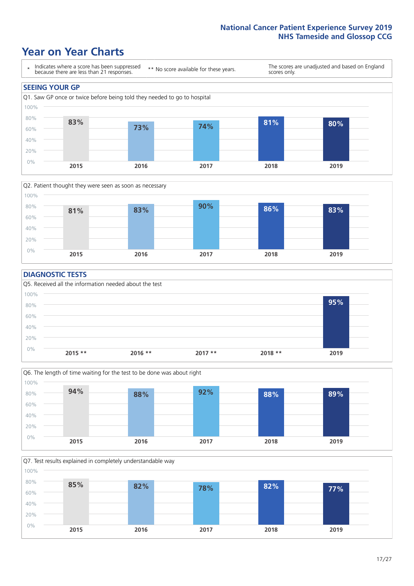### **Year on Year Charts**





#### **DIAGNOSTIC TESTS**





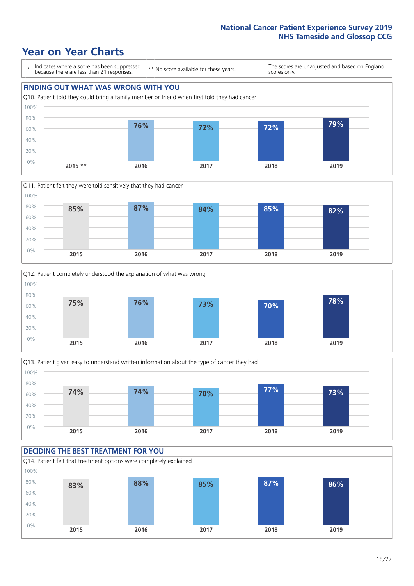







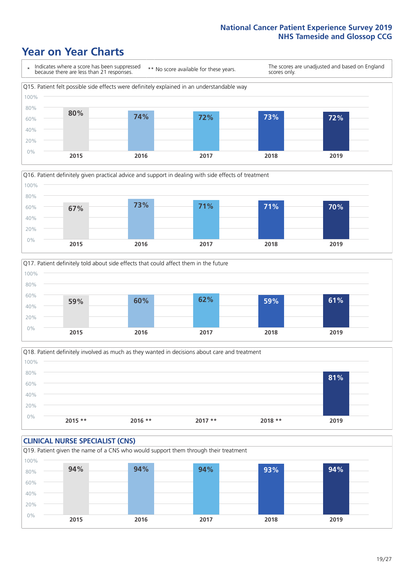





Q18. Patient definitely involved as much as they wanted in decisions about care and treatment  $0%$ 20% 40% 60% 80% 100% **2015 \*\* 2016 \*\* 2017 \*\* 2018 \*\* 2019 81%**

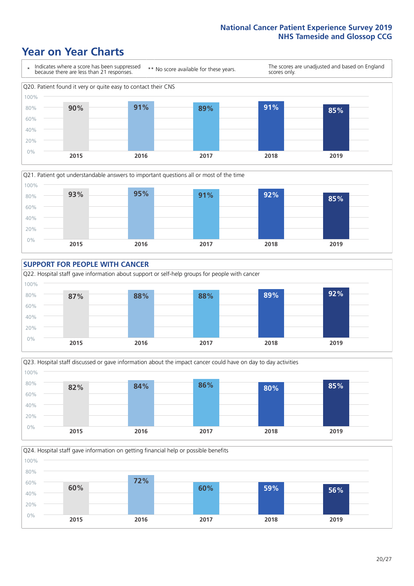







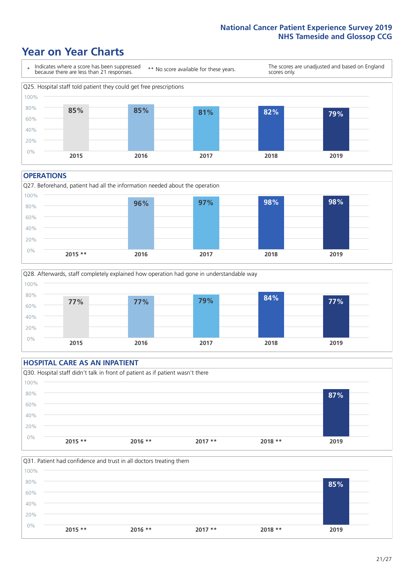### **Year on Year Charts**



#### **OPERATIONS**





#### **HOSPITAL CARE AS AN INPATIENT** Q30. Hospital staff didn't talk in front of patient as if patient wasn't there 0% 20% 40% 60% 80% 100% **2015 \*\* 2016 \*\* 2017 \*\* 2018 \*\* 2019 87%**

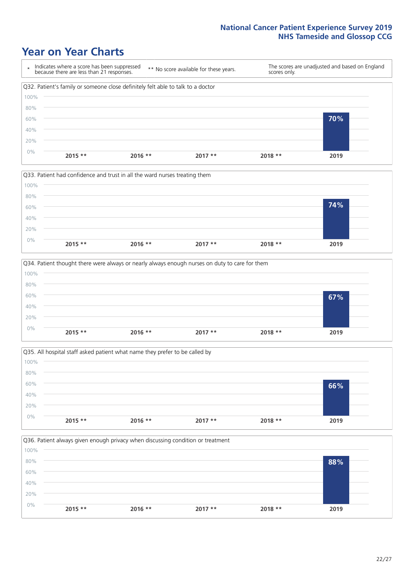







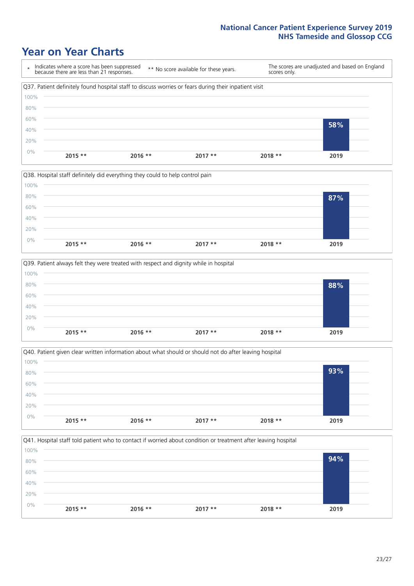







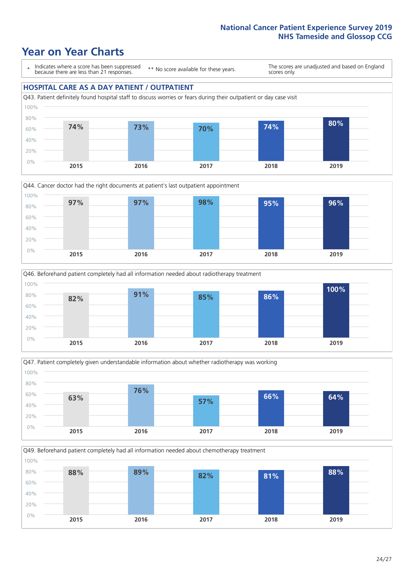### **Year on Year Charts**

\* Indicates where a score has been suppressed because there are less than 21 responses.

\*\* No score available for these years.

The scores are unadjusted and based on England scores only.

#### **HOSPITAL CARE AS A DAY PATIENT / OUTPATIENT**









Q49. Beforehand patient completely had all information needed about chemotherapy treatment 0% 20% 40% 60% 80% 100% **2015 2016 2017 2018 2019 88% 89% 82% 81% 88%**

 $24 / 27$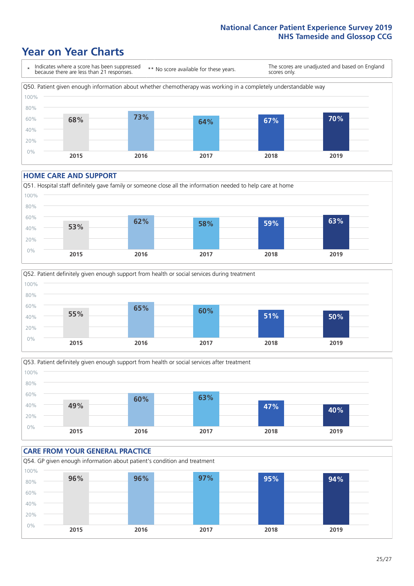### **Year on Year Charts**



#### **HOME CARE AND SUPPORT**







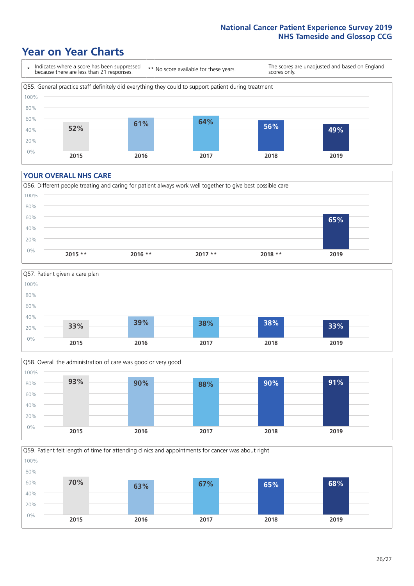### **Year on Year Charts**

\* Indicates where a score has been suppressed because there are less than 21 responses. \*\* No score available for these years. The scores are unadjusted and based on England scores only. Q55. General practice staff definitely did everything they could to support patient during treatment 0% 20% 40% 60% 80% 100% **2015 2016 2017 2018 2019 52% 61% 64% 56% 49%**

#### **YOUR OVERALL NHS CARE**







Q59. Patient felt length of time for attending clinics and appointments for cancer was about right 0% 20% 40% 60% 80% 100% **2015 2016 2017 2018 2019 70% 63% 67% 65% 68%**